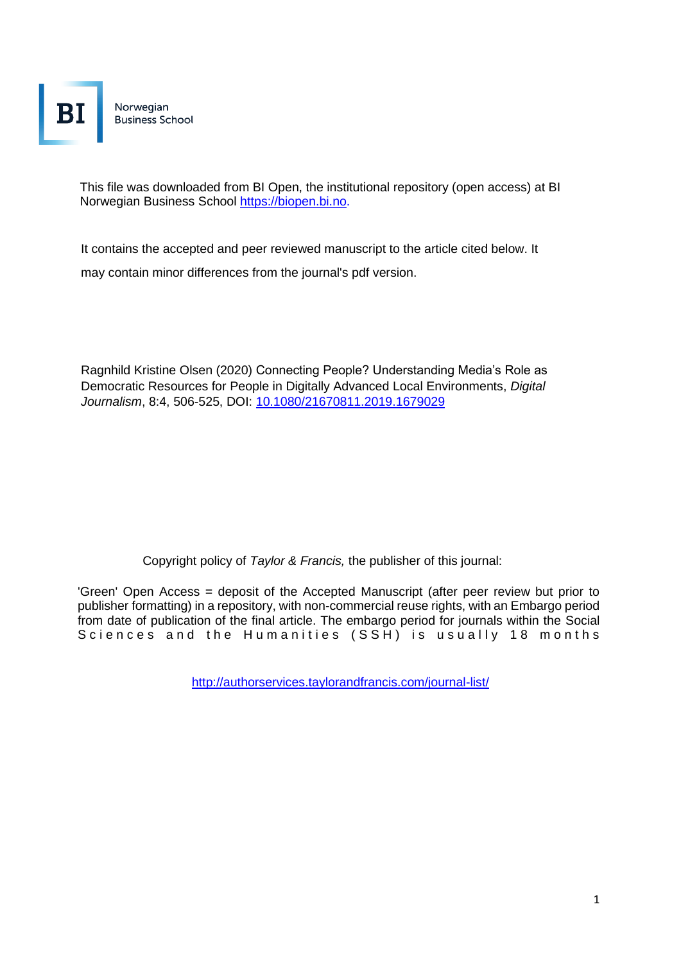Norwegian **Business School** 

This file was downloaded from BI Open, the institutional repository (open access) at BI Norwegian Business School https://biopen.bi.no.

It contains the accepted and peer reviewed manuscript to the article cited below. It may contain minor differences from the journal's pdf version.

Ragnhild Kristine Olsen (2020) Connecting People? Understanding Media's Role as Democratic Resources for People in Digitally Advanced Local Environments, *Digital Journalism*, 8:4, 506-525, DOI: [10.1080/21670811.2019.1679029](https://doi.org/10.1080/21670811.2019.1679029)

Copyright policy of *Taylor & Francis,* the publisher of this journal:

'Green' Open Access = deposit of the Accepted Manuscript (after peer review but prior to publisher formatting) in a repository, with non-commercial reuse rights, with an Embargo period from date of publication of the final article. The embargo period for journals within the Social Sciences and the Humanities (SSH) is usually 18 months

<http://authorservices.taylorandfrancis.com/journal-list/>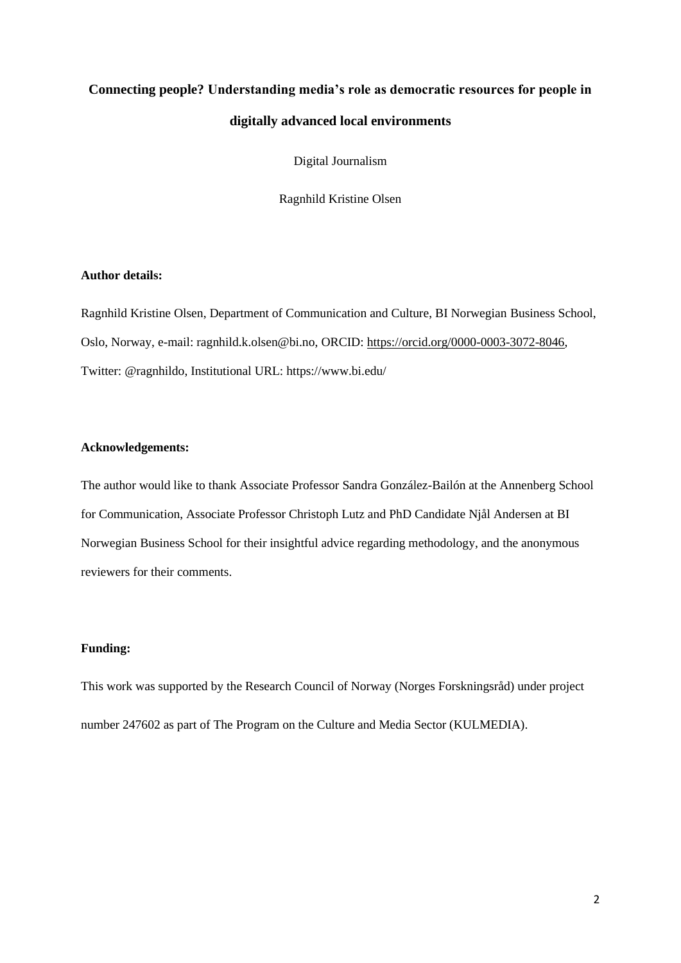# **Connecting people? Understanding media's role as democratic resources for people in digitally advanced local environments**

Digital Journalism

Ragnhild Kristine Olsen

#### **Author details:**

Ragnhild Kristine Olsen, Department of Communication and Culture, BI Norwegian Business School, Oslo, Norway, e-mail: ragnhild.k.olsen@bi.no, ORCID: [https://orcid.org/0000-0003-3072-8046,](https://orcid.org/0000-0003-3072-8046) Twitter: @ragnhildo, Institutional URL: https://www.bi.edu/

# **Acknowledgements:**

The author would like to thank Associate Professor Sandra González-Bailón at the Annenberg School for Communication, Associate Professor Christoph Lutz and PhD Candidate Njål Andersen at BI Norwegian Business School for their insightful advice regarding methodology, and the anonymous reviewers for their comments.

# **Funding:**

This work was supported by the Research Council of Norway (Norges Forskningsråd) under project number 247602 as part of The Program on the Culture and Media Sector (KULMEDIA).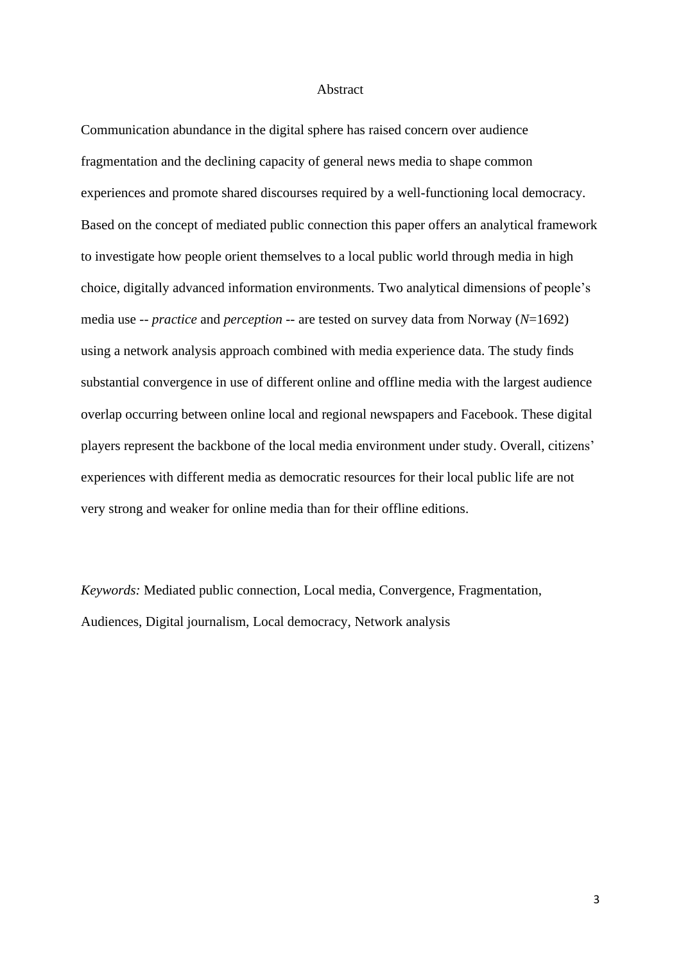#### Abstract

Communication abundance in the digital sphere has raised concern over audience fragmentation and the declining capacity of general news media to shape common experiences and promote shared discourses required by a well-functioning local democracy. Based on the concept of mediated public connection this paper offers an analytical framework to investigate how people orient themselves to a local public world through media in high choice, digitally advanced information environments. Two analytical dimensions of people's media use -- *practice* and *perception* -- are tested on survey data from Norway (*N*=1692) using a network analysis approach combined with media experience data. The study finds substantial convergence in use of different online and offline media with the largest audience overlap occurring between online local and regional newspapers and Facebook. These digital players represent the backbone of the local media environment under study. Overall, citizens' experiences with different media as democratic resources for their local public life are not very strong and weaker for online media than for their offline editions.

*Keywords:* Mediated public connection, Local media, Convergence, Fragmentation, Audiences, Digital journalism, Local democracy, Network analysis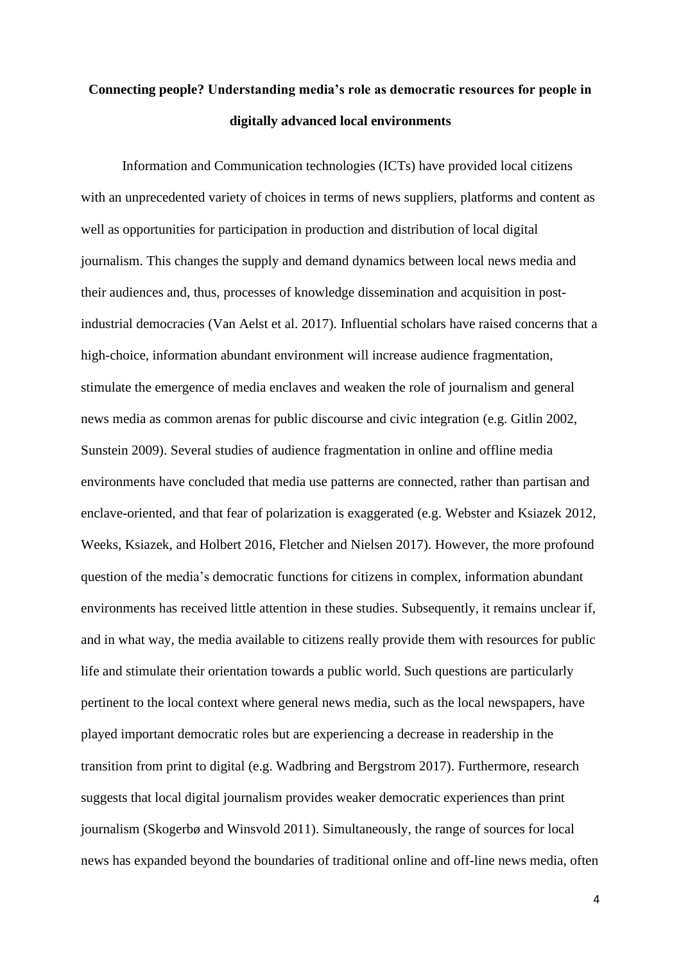# **Connecting people? Understanding media's role as democratic resources for people in digitally advanced local environments**

Information and Communication technologies (ICTs) have provided local citizens with an unprecedented variety of choices in terms of news suppliers, platforms and content as well as opportunities for participation in production and distribution of local digital journalism. This changes the supply and demand dynamics between local news media and their audiences and, thus, processes of knowledge dissemination and acquisition in postindustrial democracies (Van Aelst et al. 2017). Influential scholars have raised concerns that a high-choice, information abundant environment will increase audience fragmentation, stimulate the emergence of media enclaves and weaken the role of journalism and general news media as common arenas for public discourse and civic integration (e.g. Gitlin 2002, Sunstein 2009). Several studies of audience fragmentation in online and offline media environments have concluded that media use patterns are connected, rather than partisan and enclave-oriented, and that fear of polarization is exaggerated (e.g. Webster and Ksiazek 2012, Weeks, Ksiazek, and Holbert 2016, Fletcher and Nielsen 2017). However, the more profound question of the media's democratic functions for citizens in complex, information abundant environments has received little attention in these studies. Subsequently, it remains unclear if, and in what way, the media available to citizens really provide them with resources for public life and stimulate their orientation towards a public world. Such questions are particularly pertinent to the local context where general news media, such as the local newspapers, have played important democratic roles but are experiencing a decrease in readership in the transition from print to digital (e.g. Wadbring and Bergstrom 2017). Furthermore, research suggests that local digital journalism provides weaker democratic experiences than print journalism (Skogerbø and Winsvold 2011). Simultaneously, the range of sources for local news has expanded beyond the boundaries of traditional online and off-line news media, often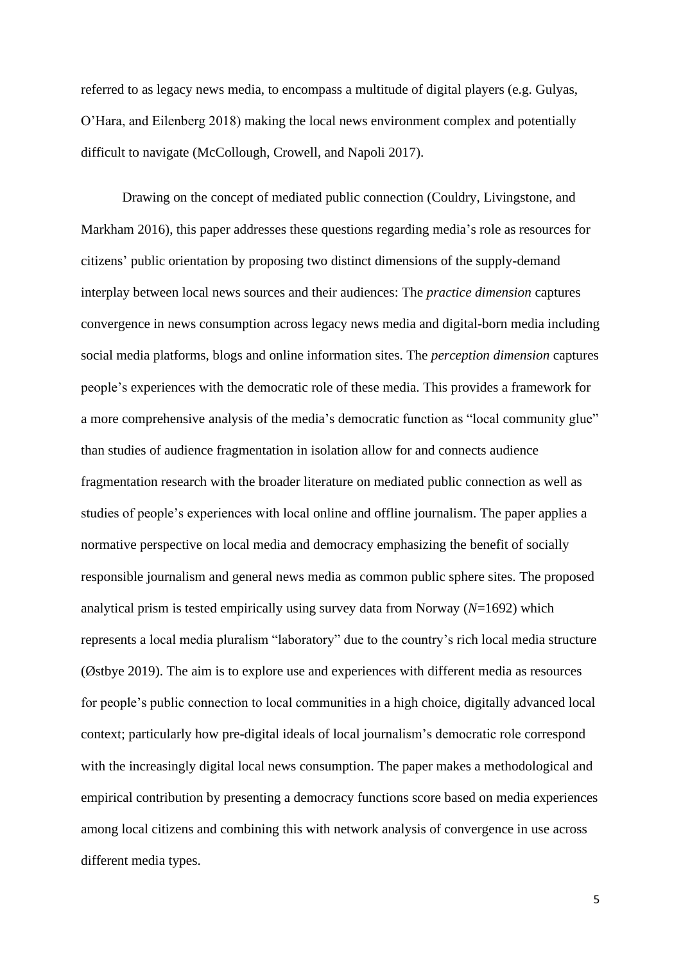referred to as legacy news media, to encompass a multitude of digital players (e.g. Gulyas, O'Hara, and Eilenberg 2018) making the local news environment complex and potentially difficult to navigate (McCollough, Crowell, and Napoli 2017).

Drawing on the concept of mediated public connection (Couldry, Livingstone, and Markham 2016), this paper addresses these questions regarding media's role as resources for citizens' public orientation by proposing two distinct dimensions of the supply-demand interplay between local news sources and their audiences: The *practice dimension* captures convergence in news consumption across legacy news media and digital-born media including social media platforms, blogs and online information sites. The *perception dimension* captures people's experiences with the democratic role of these media. This provides a framework for a more comprehensive analysis of the media's democratic function as "local community glue" than studies of audience fragmentation in isolation allow for and connects audience fragmentation research with the broader literature on mediated public connection as well as studies of people's experiences with local online and offline journalism. The paper applies a normative perspective on local media and democracy emphasizing the benefit of socially responsible journalism and general news media as common public sphere sites. The proposed analytical prism is tested empirically using survey data from Norway (*N*=1692) which represents a local media pluralism "laboratory" due to the country's rich local media structure (Østbye 2019). The aim is to explore use and experiences with different media as resources for people's public connection to local communities in a high choice, digitally advanced local context; particularly how pre-digital ideals of local journalism's democratic role correspond with the increasingly digital local news consumption. The paper makes a methodological and empirical contribution by presenting a democracy functions score based on media experiences among local citizens and combining this with network analysis of convergence in use across different media types.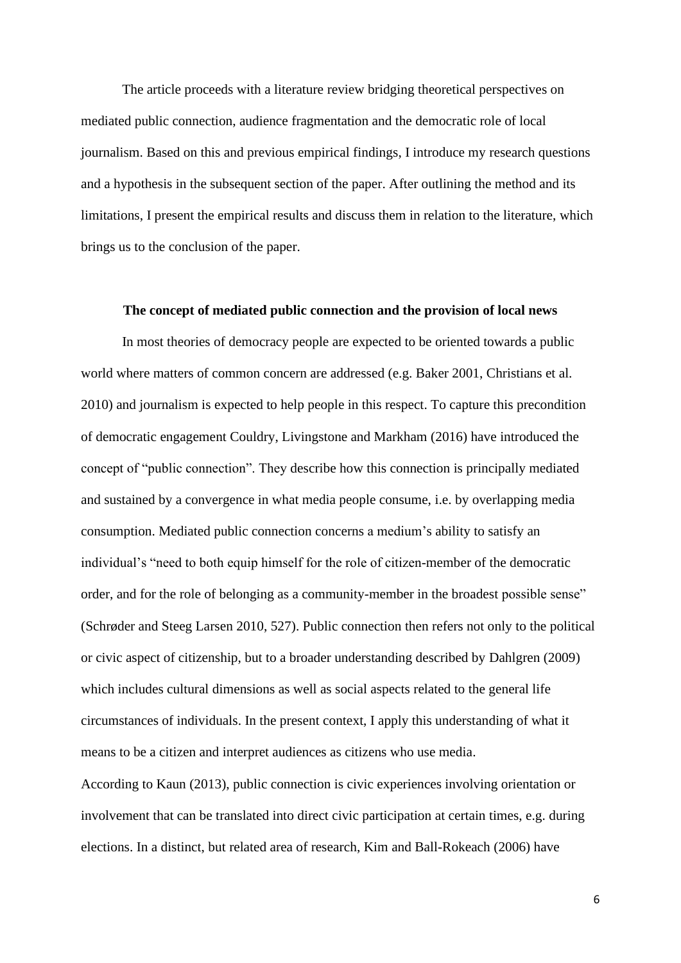The article proceeds with a literature review bridging theoretical perspectives on mediated public connection, audience fragmentation and the democratic role of local journalism. Based on this and previous empirical findings, I introduce my research questions and a hypothesis in the subsequent section of the paper. After outlining the method and its limitations, I present the empirical results and discuss them in relation to the literature, which brings us to the conclusion of the paper.

#### **The concept of mediated public connection and the provision of local news**

In most theories of democracy people are expected to be oriented towards a public world where matters of common concern are addressed (e.g. Baker 2001, Christians et al. 2010) and journalism is expected to help people in this respect. To capture this precondition of democratic engagement Couldry, Livingstone and Markham (2016) have introduced the concept of "public connection". They describe how this connection is principally mediated and sustained by a convergence in what media people consume, i.e. by overlapping media consumption. Mediated public connection concerns a medium's ability to satisfy an individual's "need to both equip himself for the role of citizen-member of the democratic order, and for the role of belonging as a community-member in the broadest possible sense" (Schrøder and Steeg Larsen 2010, 527). Public connection then refers not only to the political or civic aspect of citizenship, but to a broader understanding described by Dahlgren (2009) which includes cultural dimensions as well as social aspects related to the general life circumstances of individuals. In the present context, I apply this understanding of what it means to be a citizen and interpret audiences as citizens who use media.

According to Kaun (2013), public connection is civic experiences involving orientation or involvement that can be translated into direct civic participation at certain times, e.g. during elections. In a distinct, but related area of research, Kim and Ball-Rokeach (2006) have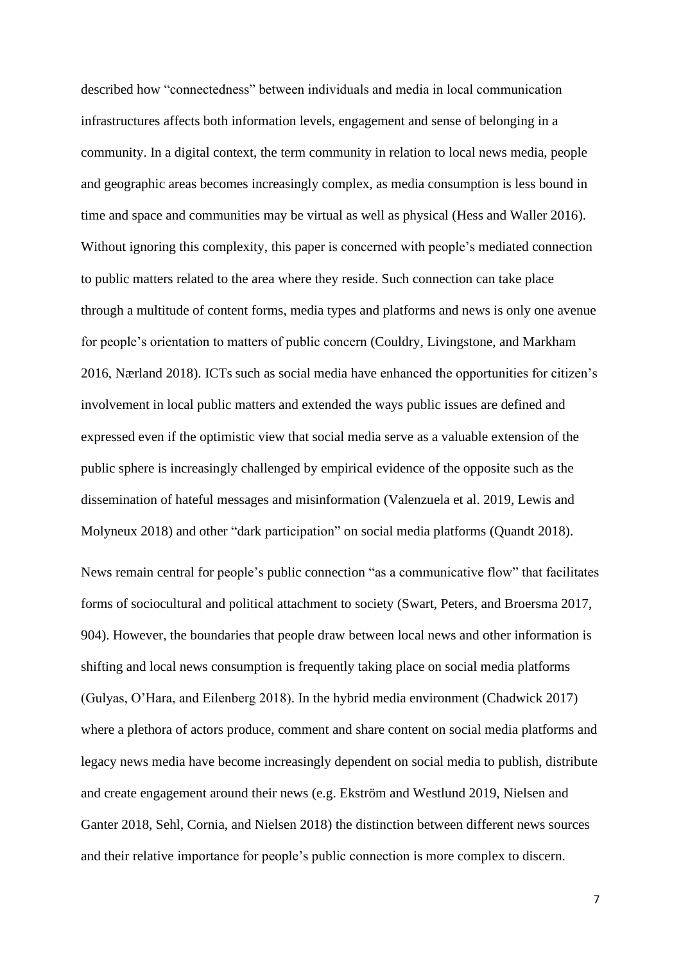described how "connectedness" between individuals and media in local communication infrastructures affects both information levels, engagement and sense of belonging in a community. In a digital context, the term community in relation to local news media, people and geographic areas becomes increasingly complex, as media consumption is less bound in time and space and communities may be virtual as well as physical (Hess and Waller 2016). Without ignoring this complexity, this paper is concerned with people's mediated connection to public matters related to the area where they reside. Such connection can take place through a multitude of content forms, media types and platforms and news is only one avenue for people's orientation to matters of public concern (Couldry, Livingstone, and Markham 2016, Nærland 2018). ICTs such as social media have enhanced the opportunities for citizen's involvement in local public matters and extended the ways public issues are defined and expressed even if the optimistic view that social media serve as a valuable extension of the public sphere is increasingly challenged by empirical evidence of the opposite such as the dissemination of hateful messages and misinformation (Valenzuela et al. 2019, Lewis and Molyneux 2018) and other "dark participation" on social media platforms (Quandt 2018). News remain central for people's public connection "as a communicative flow" that facilitates forms of sociocultural and political attachment to society (Swart, Peters, and Broersma 2017, 904). However, the boundaries that people draw between local news and other information is shifting and local news consumption is frequently taking place on social media platforms (Gulyas, O'Hara, and Eilenberg 2018). In the hybrid media environment (Chadwick 2017) where a plethora of actors produce, comment and share content on social media platforms and legacy news media have become increasingly dependent on social media to publish, distribute and create engagement around their news (e.g. Ekström and Westlund 2019, Nielsen and Ganter 2018, Sehl, Cornia, and Nielsen 2018) the distinction between different news sources and their relative importance for people's public connection is more complex to discern.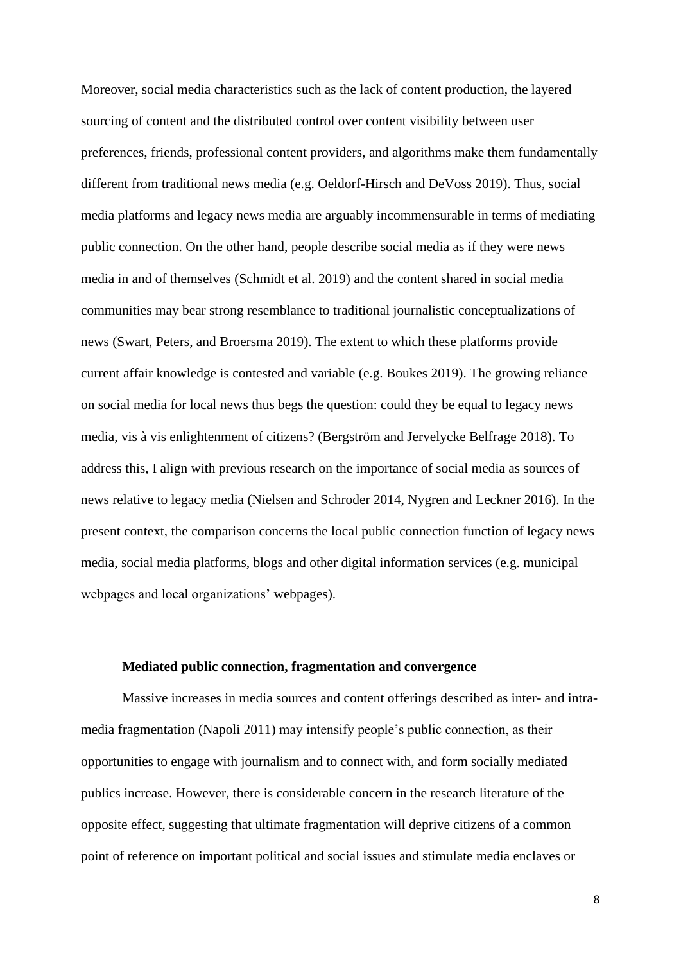Moreover, social media characteristics such as the lack of content production, the layered sourcing of content and the distributed control over content visibility between user preferences, friends, professional content providers, and algorithms make them fundamentally different from traditional news media (e.g. Oeldorf-Hirsch and DeVoss 2019). Thus, social media platforms and legacy news media are arguably incommensurable in terms of mediating public connection. On the other hand, people describe social media as if they were news media in and of themselves (Schmidt et al. 2019) and the content shared in social media communities may bear strong resemblance to traditional journalistic conceptualizations of news (Swart, Peters, and Broersma 2019). The extent to which these platforms provide current affair knowledge is contested and variable (e.g. Boukes 2019). The growing reliance on social media for local news thus begs the question: could they be equal to legacy news media, vis à vis enlightenment of citizens? (Bergström and Jervelycke Belfrage 2018). To address this, I align with previous research on the importance of social media as sources of news relative to legacy media (Nielsen and Schroder 2014, Nygren and Leckner 2016). In the present context, the comparison concerns the local public connection function of legacy news media, social media platforms, blogs and other digital information services (e.g. municipal webpages and local organizations' webpages).

# **Mediated public connection, fragmentation and convergence**

Massive increases in media sources and content offerings described as inter- and intramedia fragmentation (Napoli 2011) may intensify people's public connection, as their opportunities to engage with journalism and to connect with, and form socially mediated publics increase. However, there is considerable concern in the research literature of the opposite effect, suggesting that ultimate fragmentation will deprive citizens of a common point of reference on important political and social issues and stimulate media enclaves or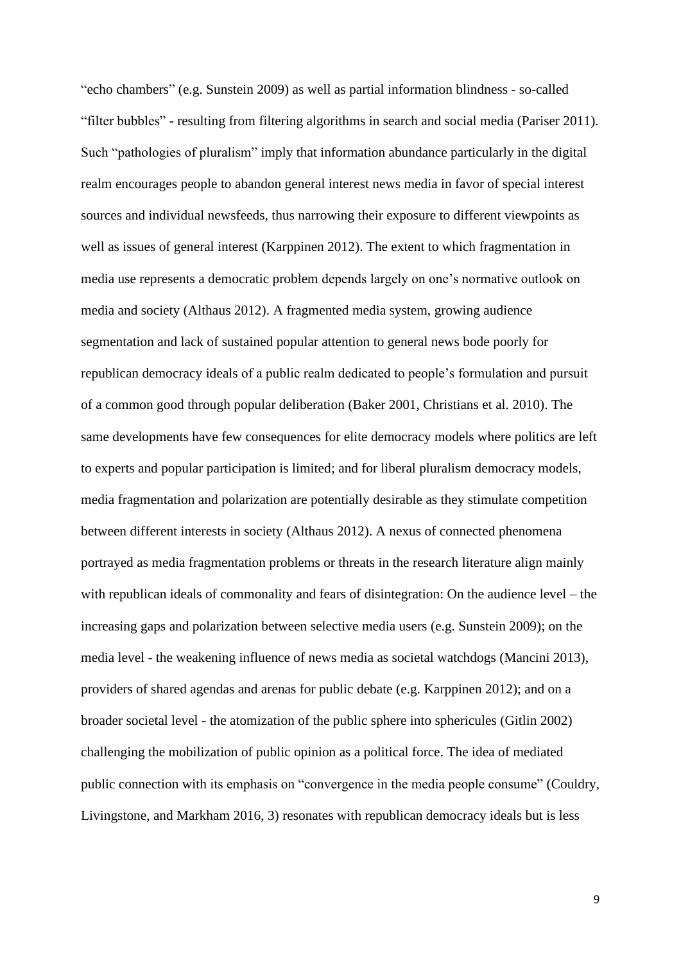"echo chambers" (e.g. Sunstein 2009) as well as partial information blindness - so-called "filter bubbles" - resulting from filtering algorithms in search and social media (Pariser 2011). Such "pathologies of pluralism" imply that information abundance particularly in the digital realm encourages people to abandon general interest news media in favor of special interest sources and individual newsfeeds, thus narrowing their exposure to different viewpoints as well as issues of general interest (Karppinen 2012). The extent to which fragmentation in media use represents a democratic problem depends largely on one's normative outlook on media and society (Althaus 2012). A fragmented media system, growing audience segmentation and lack of sustained popular attention to general news bode poorly for republican democracy ideals of a public realm dedicated to people's formulation and pursuit of a common good through popular deliberation (Baker 2001, Christians et al. 2010). The same developments have few consequences for elite democracy models where politics are left to experts and popular participation is limited; and for liberal pluralism democracy models, media fragmentation and polarization are potentially desirable as they stimulate competition between different interests in society (Althaus 2012). A nexus of connected phenomena portrayed as media fragmentation problems or threats in the research literature align mainly with republican ideals of commonality and fears of disintegration: On the audience level – the increasing gaps and polarization between selective media users (e.g. Sunstein 2009); on the media level - the weakening influence of news media as societal watchdogs (Mancini 2013), providers of shared agendas and arenas for public debate (e.g. Karppinen 2012); and on a broader societal level - the atomization of the public sphere into sphericules (Gitlin 2002) challenging the mobilization of public opinion as a political force. The idea of mediated public connection with its emphasis on "convergence in the media people consume" (Couldry, Livingstone, and Markham 2016, 3) resonates with republican democracy ideals but is less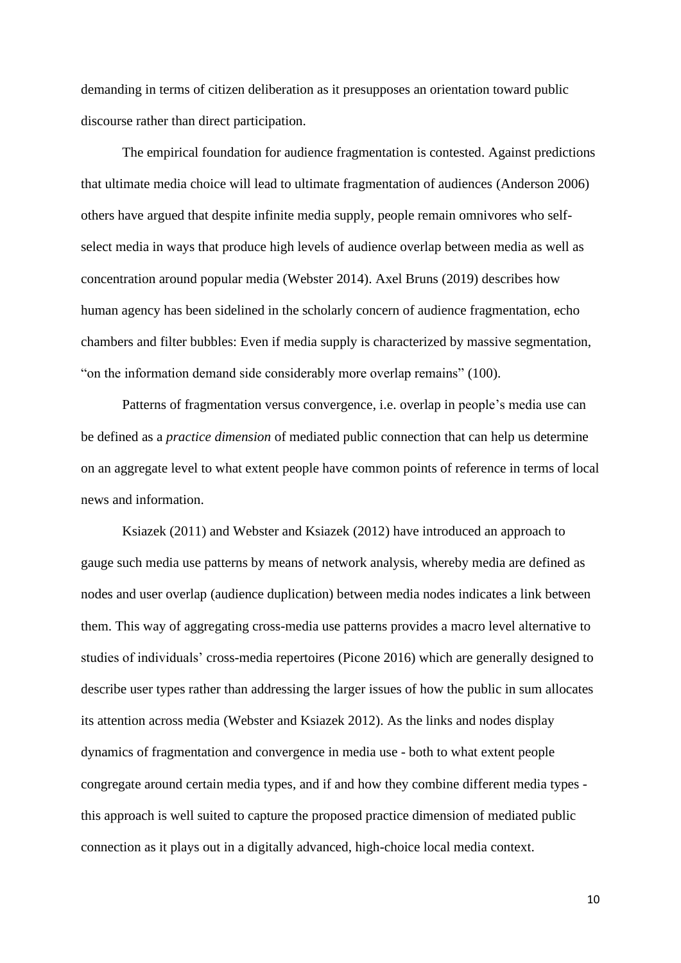demanding in terms of citizen deliberation as it presupposes an orientation toward public discourse rather than direct participation.

The empirical foundation for audience fragmentation is contested. Against predictions that ultimate media choice will lead to ultimate fragmentation of audiences (Anderson 2006) others have argued that despite infinite media supply, people remain omnivores who selfselect media in ways that produce high levels of audience overlap between media as well as concentration around popular media (Webster 2014). Axel Bruns (2019) describes how human agency has been sidelined in the scholarly concern of audience fragmentation, echo chambers and filter bubbles: Even if media supply is characterized by massive segmentation, "on the information demand side considerably more overlap remains" (100).

Patterns of fragmentation versus convergence, i.e. overlap in people's media use can be defined as a *practice dimension* of mediated public connection that can help us determine on an aggregate level to what extent people have common points of reference in terms of local news and information.

Ksiazek (2011) and Webster and Ksiazek (2012) have introduced an approach to gauge such media use patterns by means of network analysis, whereby media are defined as nodes and user overlap (audience duplication) between media nodes indicates a link between them. This way of aggregating cross-media use patterns provides a macro level alternative to studies of individuals' cross-media repertoires (Picone 2016) which are generally designed to describe user types rather than addressing the larger issues of how the public in sum allocates its attention across media (Webster and Ksiazek 2012). As the links and nodes display dynamics of fragmentation and convergence in media use - both to what extent people congregate around certain media types, and if and how they combine different media types this approach is well suited to capture the proposed practice dimension of mediated public connection as it plays out in a digitally advanced, high-choice local media context.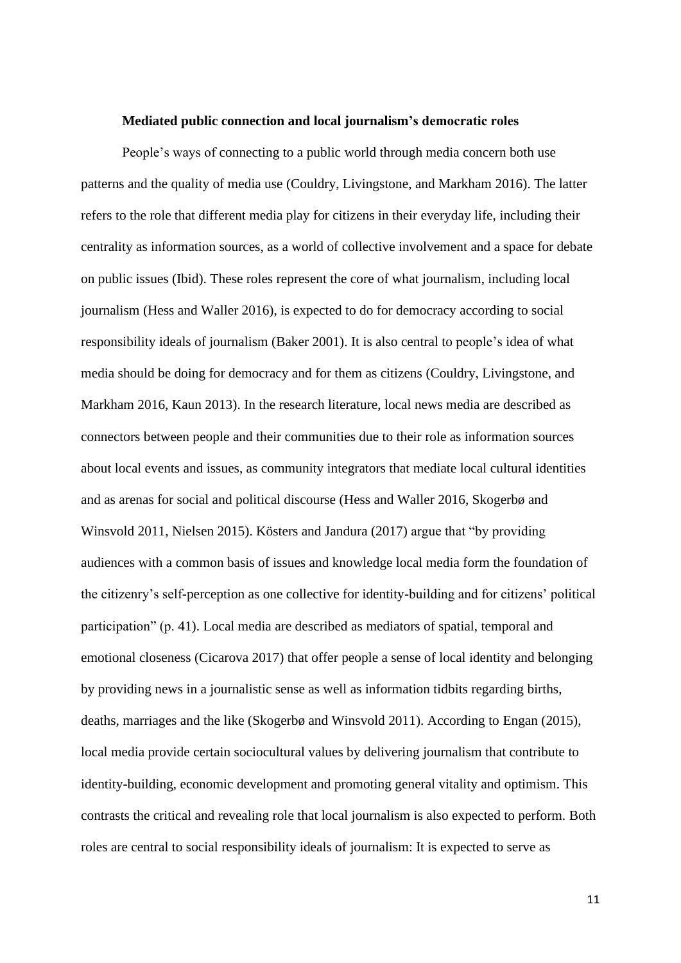#### **Mediated public connection and local journalism's democratic roles**

People's ways of connecting to a public world through media concern both use patterns and the quality of media use (Couldry, Livingstone, and Markham 2016). The latter refers to the role that different media play for citizens in their everyday life, including their centrality as information sources, as a world of collective involvement and a space for debate on public issues (Ibid). These roles represent the core of what journalism, including local journalism (Hess and Waller 2016), is expected to do for democracy according to social responsibility ideals of journalism (Baker 2001). It is also central to people's idea of what media should be doing for democracy and for them as citizens (Couldry, Livingstone, and Markham 2016, Kaun 2013). In the research literature, local news media are described as connectors between people and their communities due to their role as information sources about local events and issues, as community integrators that mediate local cultural identities and as arenas for social and political discourse (Hess and Waller 2016, Skogerbø and Winsvold 2011, Nielsen 2015). Kösters and Jandura (2017) argue that "by providing audiences with a common basis of issues and knowledge local media form the foundation of the citizenry's self-perception as one collective for identity-building and for citizens' political participation" (p. 41). Local media are described as mediators of spatial, temporal and emotional closeness (Cicarova 2017) that offer people a sense of local identity and belonging by providing news in a journalistic sense as well as information tidbits regarding births, deaths, marriages and the like (Skogerbø and Winsvold 2011). According to Engan (2015), local media provide certain sociocultural values by delivering journalism that contribute to identity-building, economic development and promoting general vitality and optimism. This contrasts the critical and revealing role that local journalism is also expected to perform. Both roles are central to social responsibility ideals of journalism: It is expected to serve as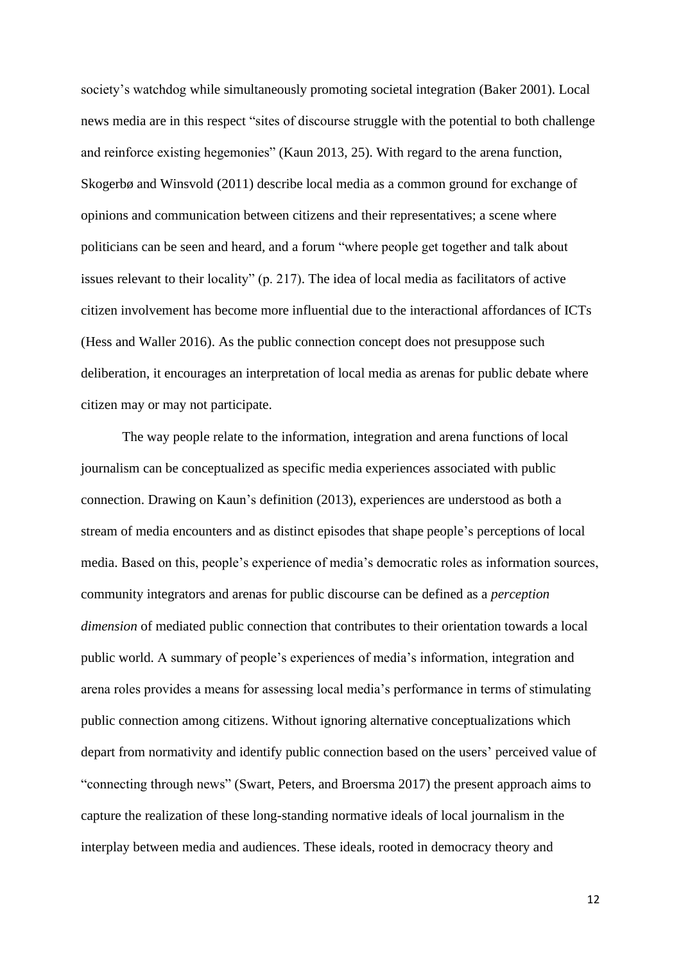society's watchdog while simultaneously promoting societal integration (Baker 2001). Local news media are in this respect "sites of discourse struggle with the potential to both challenge and reinforce existing hegemonies" (Kaun 2013, 25). With regard to the arena function, Skogerbø and Winsvold (2011) describe local media as a common ground for exchange of opinions and communication between citizens and their representatives; a scene where politicians can be seen and heard, and a forum "where people get together and talk about issues relevant to their locality" (p. 217). The idea of local media as facilitators of active citizen involvement has become more influential due to the interactional affordances of ICTs (Hess and Waller 2016). As the public connection concept does not presuppose such deliberation, it encourages an interpretation of local media as arenas for public debate where citizen may or may not participate.

The way people relate to the information, integration and arena functions of local journalism can be conceptualized as specific media experiences associated with public connection. Drawing on Kaun's definition (2013), experiences are understood as both a stream of media encounters and as distinct episodes that shape people's perceptions of local media. Based on this, people's experience of media's democratic roles as information sources, community integrators and arenas for public discourse can be defined as a *perception dimension* of mediated public connection that contributes to their orientation towards a local public world. A summary of people's experiences of media's information, integration and arena roles provides a means for assessing local media's performance in terms of stimulating public connection among citizens. Without ignoring alternative conceptualizations which depart from normativity and identify public connection based on the users' perceived value of "connecting through news" (Swart, Peters, and Broersma 2017) the present approach aims to capture the realization of these long-standing normative ideals of local journalism in the interplay between media and audiences. These ideals, rooted in democracy theory and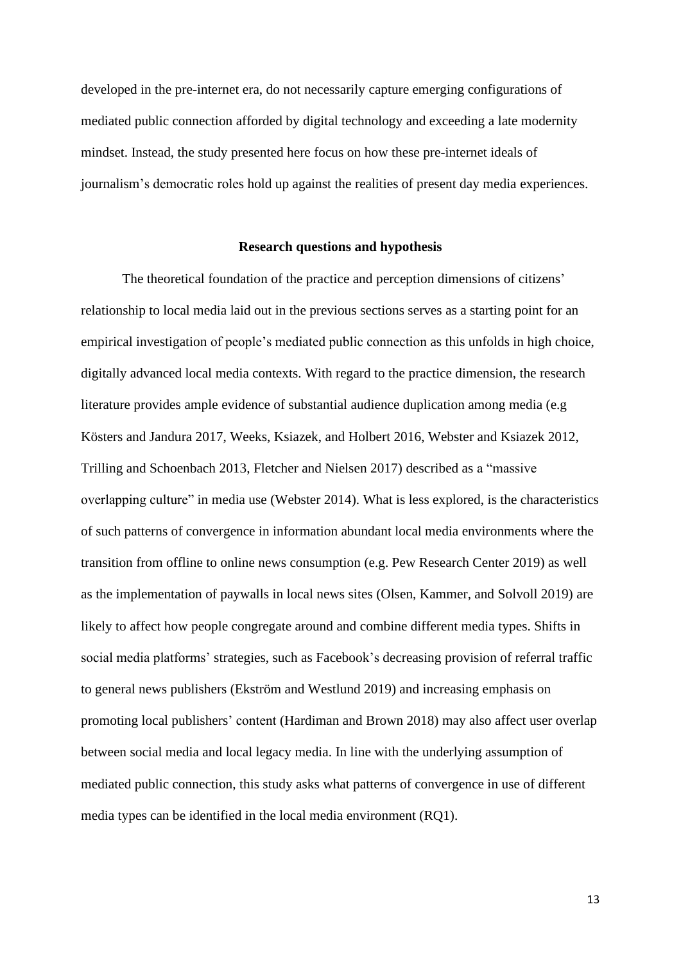developed in the pre-internet era, do not necessarily capture emerging configurations of mediated public connection afforded by digital technology and exceeding a late modernity mindset. Instead, the study presented here focus on how these pre-internet ideals of journalism's democratic roles hold up against the realities of present day media experiences.

#### **Research questions and hypothesis**

The theoretical foundation of the practice and perception dimensions of citizens' relationship to local media laid out in the previous sections serves as a starting point for an empirical investigation of people's mediated public connection as this unfolds in high choice, digitally advanced local media contexts. With regard to the practice dimension, the research literature provides ample evidence of substantial audience duplication among media (e.g Kösters and Jandura 2017, Weeks, Ksiazek, and Holbert 2016, Webster and Ksiazek 2012, Trilling and Schoenbach 2013, Fletcher and Nielsen 2017) described as a "massive overlapping culture" in media use (Webster 2014). What is less explored, is the characteristics of such patterns of convergence in information abundant local media environments where the transition from offline to online news consumption (e.g. Pew Research Center 2019) as well as the implementation of paywalls in local news sites (Olsen, Kammer, and Solvoll 2019) are likely to affect how people congregate around and combine different media types. Shifts in social media platforms' strategies, such as Facebook's decreasing provision of referral traffic to general news publishers (Ekström and Westlund 2019) and increasing emphasis on promoting local publishers' content (Hardiman and Brown 2018) may also affect user overlap between social media and local legacy media. In line with the underlying assumption of mediated public connection, this study asks what patterns of convergence in use of different media types can be identified in the local media environment (RQ1).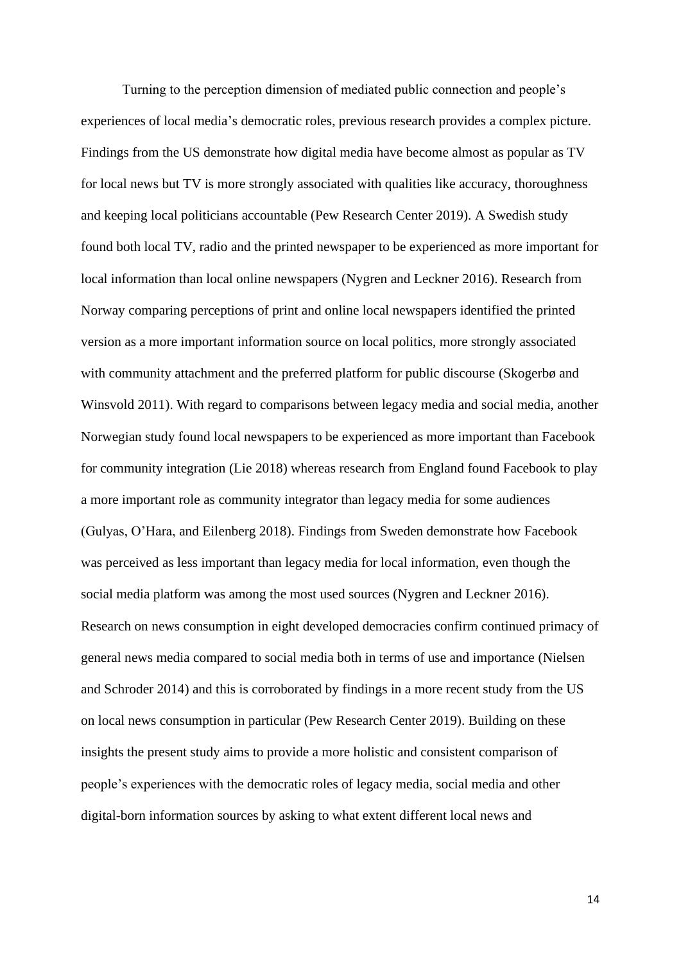Turning to the perception dimension of mediated public connection and people's experiences of local media's democratic roles, previous research provides a complex picture. Findings from the US demonstrate how digital media have become almost as popular as TV for local news but TV is more strongly associated with qualities like accuracy, thoroughness and keeping local politicians accountable (Pew Research Center 2019). A Swedish study found both local TV, radio and the printed newspaper to be experienced as more important for local information than local online newspapers (Nygren and Leckner 2016). Research from Norway comparing perceptions of print and online local newspapers identified the printed version as a more important information source on local politics, more strongly associated with community attachment and the preferred platform for public discourse (Skogerbø and Winsvold 2011). With regard to comparisons between legacy media and social media, another Norwegian study found local newspapers to be experienced as more important than Facebook for community integration (Lie 2018) whereas research from England found Facebook to play a more important role as community integrator than legacy media for some audiences (Gulyas, O'Hara, and Eilenberg 2018). Findings from Sweden demonstrate how Facebook was perceived as less important than legacy media for local information, even though the social media platform was among the most used sources (Nygren and Leckner 2016). Research on news consumption in eight developed democracies confirm continued primacy of general news media compared to social media both in terms of use and importance (Nielsen and Schroder 2014) and this is corroborated by findings in a more recent study from the US on local news consumption in particular (Pew Research Center 2019). Building on these insights the present study aims to provide a more holistic and consistent comparison of people's experiences with the democratic roles of legacy media, social media and other digital-born information sources by asking to what extent different local news and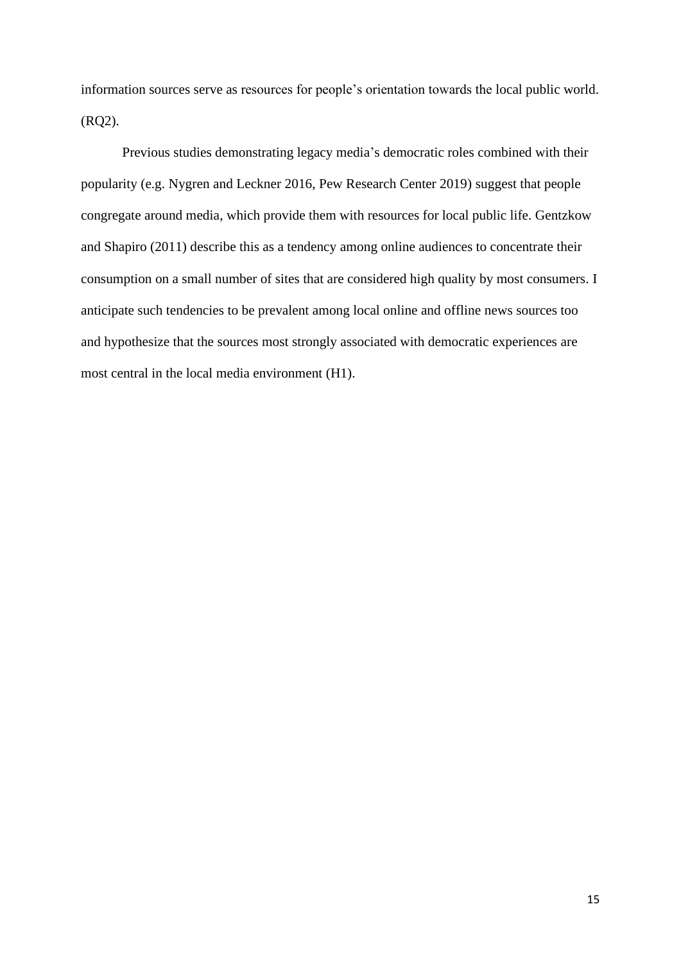information sources serve as resources for people's orientation towards the local public world. (RQ2).

Previous studies demonstrating legacy media's democratic roles combined with their popularity (e.g. Nygren and Leckner 2016, Pew Research Center 2019) suggest that people congregate around media, which provide them with resources for local public life. Gentzkow and Shapiro (2011) describe this as a tendency among online audiences to concentrate their consumption on a small number of sites that are considered high quality by most consumers. I anticipate such tendencies to be prevalent among local online and offline news sources too and hypothesize that the sources most strongly associated with democratic experiences are most central in the local media environment (H1).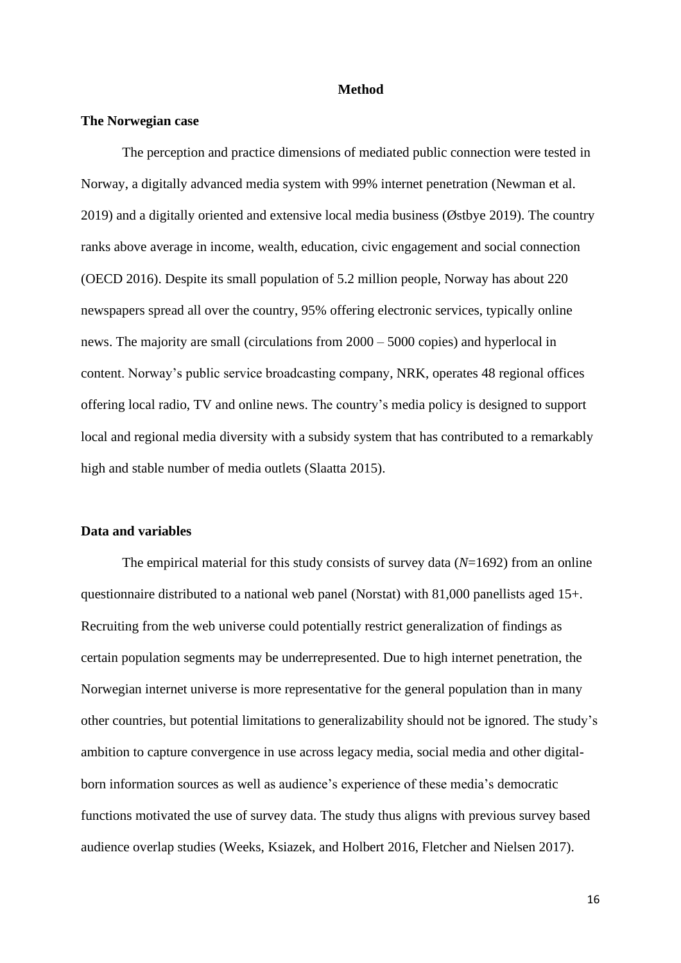#### **Method**

# **The Norwegian case**

The perception and practice dimensions of mediated public connection were tested in Norway, a digitally advanced media system with 99% internet penetration (Newman et al. 2019) and a digitally oriented and extensive local media business (Østbye 2019). The country ranks above average in income, wealth, education, civic engagement and social connection (OECD 2016). Despite its small population of 5.2 million people, Norway has about 220 newspapers spread all over the country, 95% offering electronic services, typically online news. The majority are small (circulations from 2000 – 5000 copies) and hyperlocal in content. Norway's public service broadcasting company, NRK, operates 48 regional offices offering local radio, TV and online news. The country's media policy is designed to support local and regional media diversity with a subsidy system that has contributed to a remarkably high and stable number of media outlets (Slaatta 2015).

# **Data and variables**

The empirical material for this study consists of survey data (*N*=1692) from an online questionnaire distributed to a national web panel (Norstat) with 81,000 panellists aged 15+. Recruiting from the web universe could potentially restrict generalization of findings as certain population segments may be underrepresented. Due to high internet penetration, the Norwegian internet universe is more representative for the general population than in many other countries, but potential limitations to generalizability should not be ignored. The study's ambition to capture convergence in use across legacy media, social media and other digitalborn information sources as well as audience's experience of these media's democratic functions motivated the use of survey data. The study thus aligns with previous survey based audience overlap studies (Weeks, Ksiazek, and Holbert 2016, Fletcher and Nielsen 2017).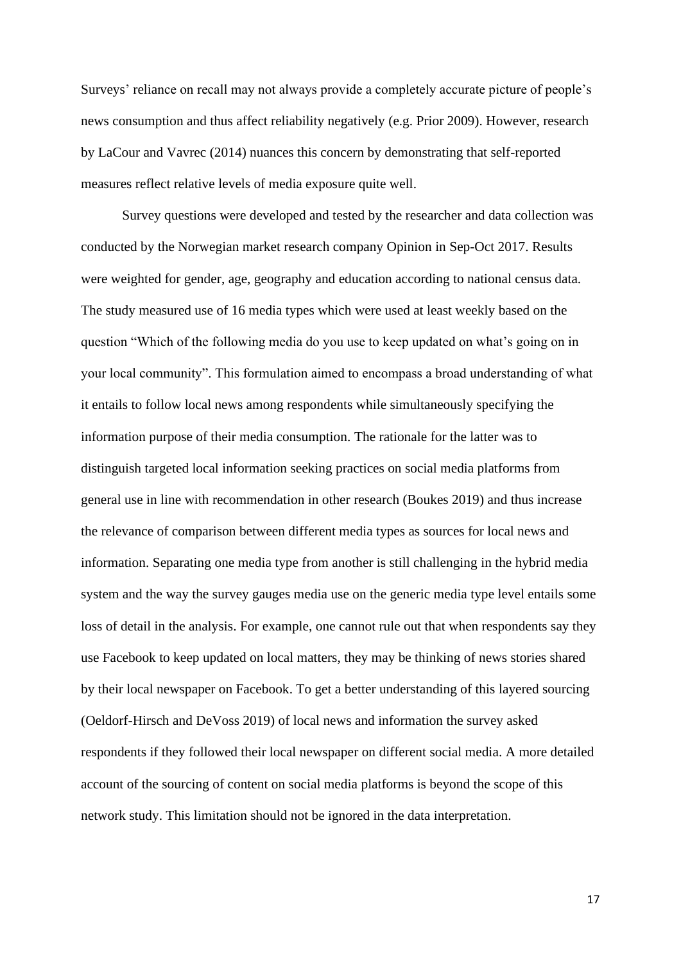Surveys' reliance on recall may not always provide a completely accurate picture of people's news consumption and thus affect reliability negatively (e.g. Prior 2009). However, research by LaCour and Vavrec (2014) nuances this concern by demonstrating that self-reported measures reflect relative levels of media exposure quite well.

Survey questions were developed and tested by the researcher and data collection was conducted by the Norwegian market research company Opinion in Sep-Oct 2017. Results were weighted for gender, age, geography and education according to national census data. The study measured use of 16 media types which were used at least weekly based on the question "Which of the following media do you use to keep updated on what's going on in your local community". This formulation aimed to encompass a broad understanding of what it entails to follow local news among respondents while simultaneously specifying the information purpose of their media consumption. The rationale for the latter was to distinguish targeted local information seeking practices on social media platforms from general use in line with recommendation in other research (Boukes 2019) and thus increase the relevance of comparison between different media types as sources for local news and information. Separating one media type from another is still challenging in the hybrid media system and the way the survey gauges media use on the generic media type level entails some loss of detail in the analysis. For example, one cannot rule out that when respondents say they use Facebook to keep updated on local matters, they may be thinking of news stories shared by their local newspaper on Facebook. To get a better understanding of this layered sourcing (Oeldorf-Hirsch and DeVoss 2019) of local news and information the survey asked respondents if they followed their local newspaper on different social media. A more detailed account of the sourcing of content on social media platforms is beyond the scope of this network study. This limitation should not be ignored in the data interpretation.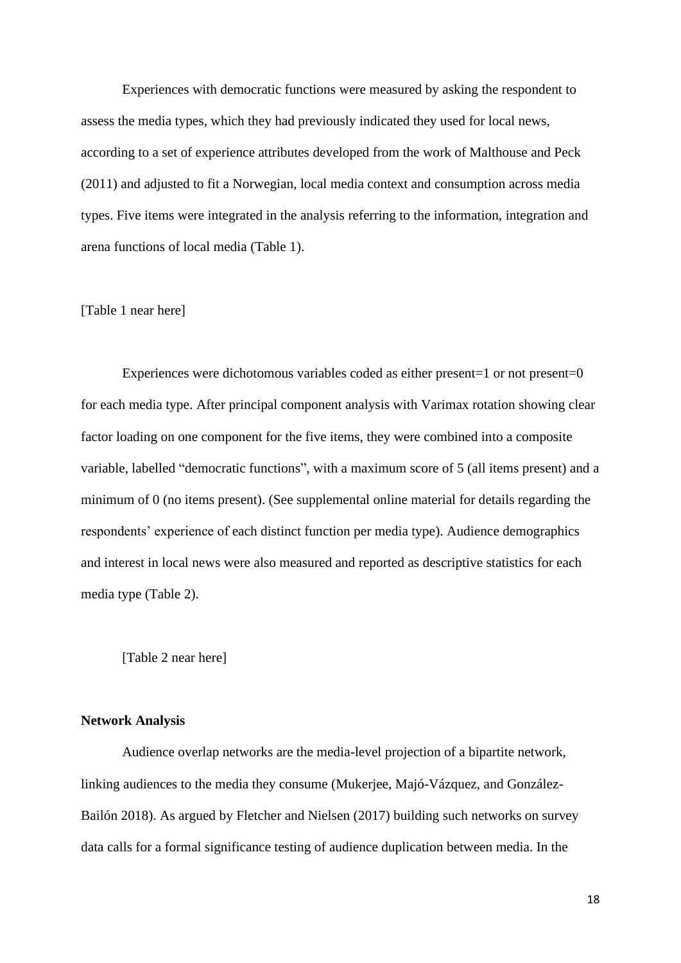Experiences with democratic functions were measured by asking the respondent to assess the media types, which they had previously indicated they used for local news, according to a set of experience attributes developed from the work of Malthouse and Peck (2011) and adjusted to fit a Norwegian, local media context and consumption across media types. Five items were integrated in the analysis referring to the information, integration and arena functions of local media (Table 1).

# [Table 1 near here]

Experiences were dichotomous variables coded as either present=1 or not present=0 for each media type. After principal component analysis with Varimax rotation showing clear factor loading on one component for the five items, they were combined into a composite variable, labelled "democratic functions", with a maximum score of 5 (all items present) and a minimum of 0 (no items present). (See supplemental online material for details regarding the respondents' experience of each distinct function per media type). Audience demographics and interest in local news were also measured and reported as descriptive statistics for each media type (Table 2).

[Table 2 near here]

#### **Network Analysis**

Audience overlap networks are the media-level projection of a bipartite network, linking audiences to the media they consume (Mukerjee, Majó-Vázquez, and González-Bailón 2018). As argued by Fletcher and Nielsen (2017) building such networks on survey data calls for a formal significance testing of audience duplication between media. In the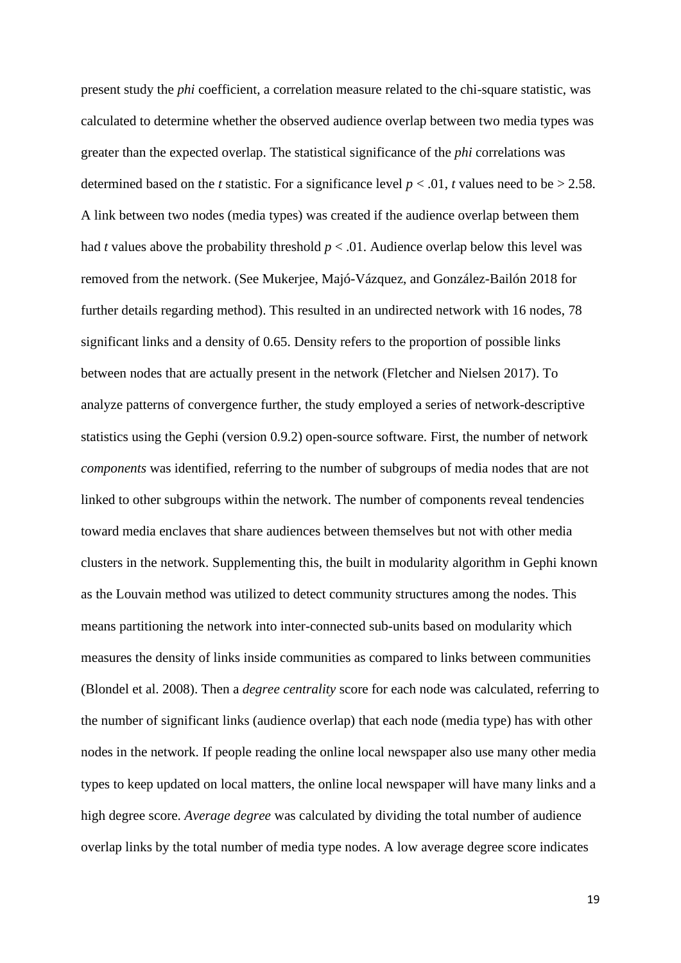present study the *phi* coefficient, a correlation measure related to the chi-square statistic, was calculated to determine whether the observed audience overlap between two media types was greater than the expected overlap. The statistical significance of the *phi* correlations was determined based on the *t* statistic. For a significance level  $p < .01$ , *t* values need to be  $> 2.58$ . A link between two nodes (media types) was created if the audience overlap between them had *t* values above the probability threshold  $p < .01$ . Audience overlap below this level was removed from the network. (See Mukerjee, Majó-Vázquez, and González-Bailón 2018 for further details regarding method). This resulted in an undirected network with 16 nodes, 78 significant links and a density of 0.65. Density refers to the proportion of possible links between nodes that are actually present in the network (Fletcher and Nielsen 2017). To analyze patterns of convergence further, the study employed a series of network-descriptive statistics using the Gephi (version 0.9.2) open-source software. First, the number of network *components* was identified, referring to the number of subgroups of media nodes that are not linked to other subgroups within the network. The number of components reveal tendencies toward media enclaves that share audiences between themselves but not with other media clusters in the network. Supplementing this, the built in modularity algorithm in Gephi known as the Louvain method was utilized to detect community structures among the nodes. This means partitioning the network into inter-connected sub-units based on modularity which measures the density of links inside communities as compared to links between communities (Blondel et al. 2008). Then a *degree centrality* score for each node was calculated, referring to the number of significant links (audience overlap) that each node (media type) has with other nodes in the network. If people reading the online local newspaper also use many other media types to keep updated on local matters, the online local newspaper will have many links and a high degree score. *Average degree* was calculated by dividing the total number of audience overlap links by the total number of media type nodes. A low average degree score indicates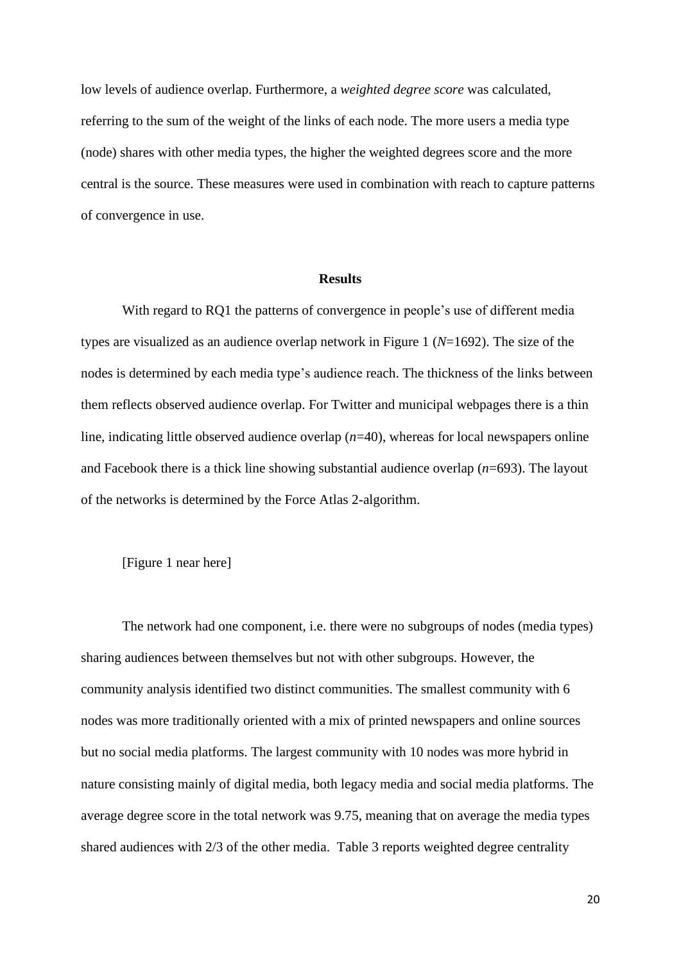low levels of audience overlap. Furthermore, a *weighted degree score* was calculated, referring to the sum of the weight of the links of each node. The more users a media type (node) shares with other media types, the higher the weighted degrees score and the more central is the source. These measures were used in combination with reach to capture patterns of convergence in use.

#### **Results**

With regard to RQ1 the patterns of convergence in people's use of different media types are visualized as an audience overlap network in Figure 1 (*N*=1692). The size of the nodes is determined by each media type's audience reach. The thickness of the links between them reflects observed audience overlap. For Twitter and municipal webpages there is a thin line, indicating little observed audience overlap (*n*=40), whereas for local newspapers online and Facebook there is a thick line showing substantial audience overlap (*n*=693). The layout of the networks is determined by the Force Atlas 2-algorithm.

# [Figure 1 near here]

The network had one component, i.e. there were no subgroups of nodes (media types) sharing audiences between themselves but not with other subgroups. However, the community analysis identified two distinct communities. The smallest community with 6 nodes was more traditionally oriented with a mix of printed newspapers and online sources but no social media platforms. The largest community with 10 nodes was more hybrid in nature consisting mainly of digital media, both legacy media and social media platforms. The average degree score in the total network was 9.75, meaning that on average the media types shared audiences with 2/3 of the other media. Table 3 reports weighted degree centrality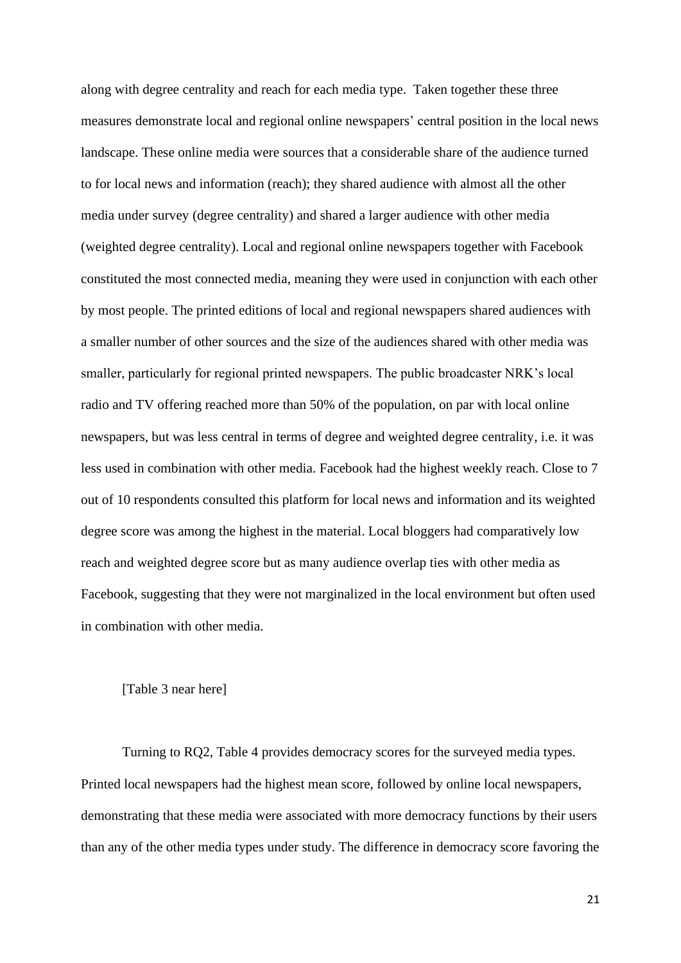along with degree centrality and reach for each media type. Taken together these three measures demonstrate local and regional online newspapers' central position in the local news landscape. These online media were sources that a considerable share of the audience turned to for local news and information (reach); they shared audience with almost all the other media under survey (degree centrality) and shared a larger audience with other media (weighted degree centrality). Local and regional online newspapers together with Facebook constituted the most connected media, meaning they were used in conjunction with each other by most people. The printed editions of local and regional newspapers shared audiences with a smaller number of other sources and the size of the audiences shared with other media was smaller, particularly for regional printed newspapers. The public broadcaster NRK's local radio and TV offering reached more than 50% of the population, on par with local online newspapers, but was less central in terms of degree and weighted degree centrality, i.e. it was less used in combination with other media. Facebook had the highest weekly reach. Close to 7 out of 10 respondents consulted this platform for local news and information and its weighted degree score was among the highest in the material. Local bloggers had comparatively low reach and weighted degree score but as many audience overlap ties with other media as Facebook, suggesting that they were not marginalized in the local environment but often used in combination with other media.

#### [Table 3 near here]

Turning to RQ2, Table 4 provides democracy scores for the surveyed media types. Printed local newspapers had the highest mean score, followed by online local newspapers, demonstrating that these media were associated with more democracy functions by their users than any of the other media types under study. The difference in democracy score favoring the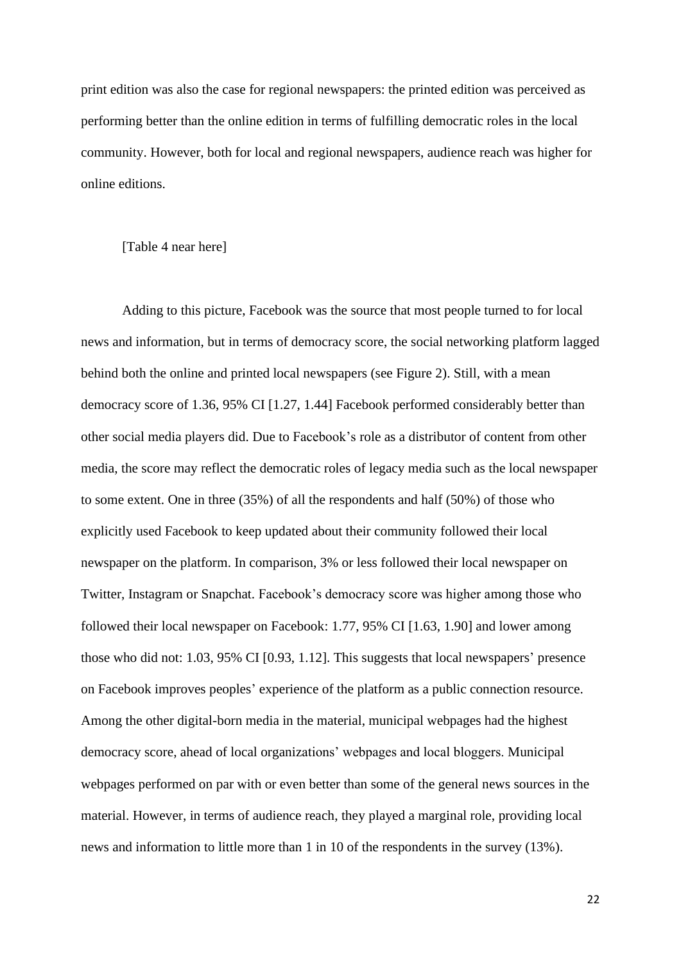print edition was also the case for regional newspapers: the printed edition was perceived as performing better than the online edition in terms of fulfilling democratic roles in the local community. However, both for local and regional newspapers, audience reach was higher for online editions.

### [Table 4 near here]

Adding to this picture, Facebook was the source that most people turned to for local news and information, but in terms of democracy score, the social networking platform lagged behind both the online and printed local newspapers (see Figure 2). Still, with a mean democracy score of 1.36, 95% CI [1.27, 1.44] Facebook performed considerably better than other social media players did. Due to Facebook's role as a distributor of content from other media, the score may reflect the democratic roles of legacy media such as the local newspaper to some extent. One in three (35%) of all the respondents and half (50%) of those who explicitly used Facebook to keep updated about their community followed their local newspaper on the platform. In comparison, 3% or less followed their local newspaper on Twitter, Instagram or Snapchat. Facebook's democracy score was higher among those who followed their local newspaper on Facebook: 1.77, 95% CI [1.63, 1.90] and lower among those who did not: 1.03, 95% CI [0.93, 1.12]. This suggests that local newspapers' presence on Facebook improves peoples' experience of the platform as a public connection resource. Among the other digital-born media in the material, municipal webpages had the highest democracy score, ahead of local organizations' webpages and local bloggers. Municipal webpages performed on par with or even better than some of the general news sources in the material. However, in terms of audience reach, they played a marginal role, providing local news and information to little more than 1 in 10 of the respondents in the survey (13%).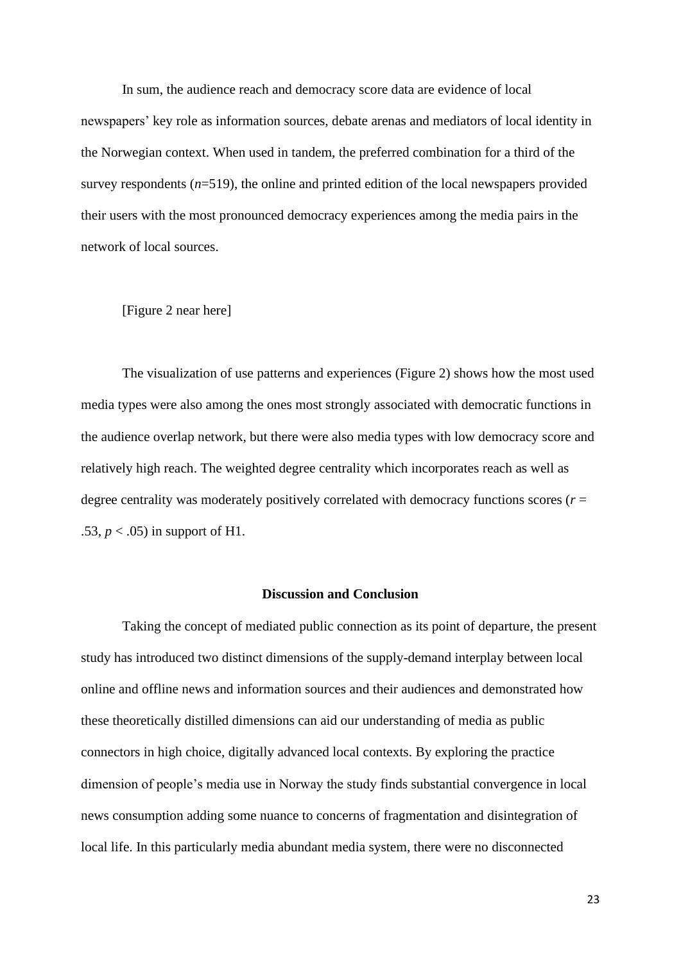In sum, the audience reach and democracy score data are evidence of local newspapers' key role as information sources, debate arenas and mediators of local identity in the Norwegian context. When used in tandem, the preferred combination for a third of the survey respondents  $(n=519)$ , the online and printed edition of the local newspapers provided their users with the most pronounced democracy experiences among the media pairs in the network of local sources.

### [Figure 2 near here]

The visualization of use patterns and experiences (Figure 2) shows how the most used media types were also among the ones most strongly associated with democratic functions in the audience overlap network, but there were also media types with low democracy score and relatively high reach. The weighted degree centrality which incorporates reach as well as degree centrality was moderately positively correlated with democracy functions scores ( $r =$ .53,  $p < .05$ ) in support of H1.

## **Discussion and Conclusion**

Taking the concept of mediated public connection as its point of departure, the present study has introduced two distinct dimensions of the supply-demand interplay between local online and offline news and information sources and their audiences and demonstrated how these theoretically distilled dimensions can aid our understanding of media as public connectors in high choice, digitally advanced local contexts. By exploring the practice dimension of people's media use in Norway the study finds substantial convergence in local news consumption adding some nuance to concerns of fragmentation and disintegration of local life. In this particularly media abundant media system, there were no disconnected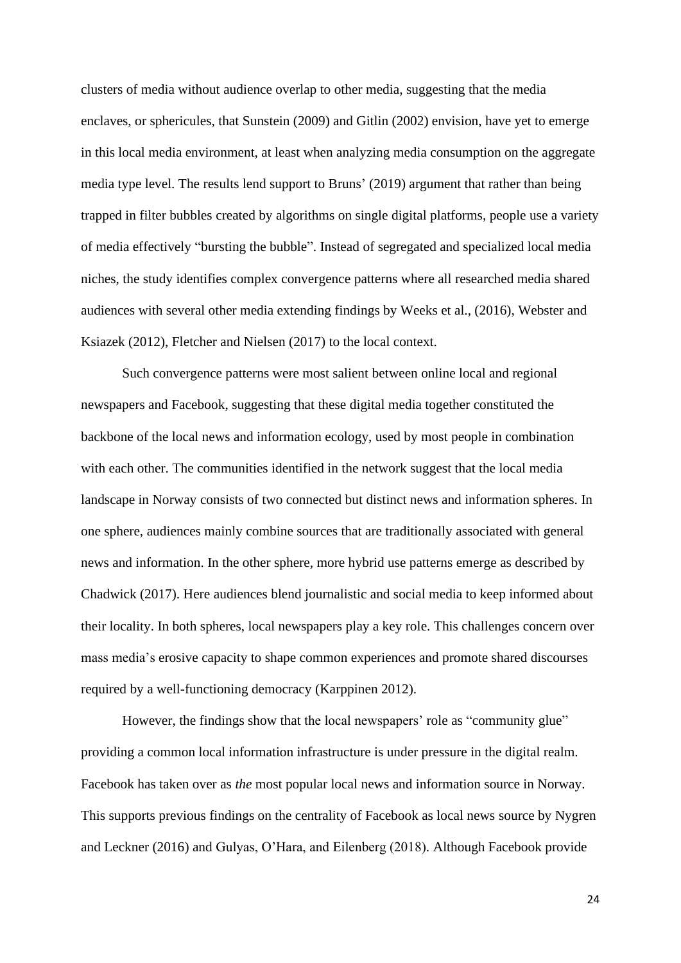clusters of media without audience overlap to other media, suggesting that the media enclaves, or sphericules, that Sunstein (2009) and Gitlin (2002) envision, have yet to emerge in this local media environment, at least when analyzing media consumption on the aggregate media type level. The results lend support to Bruns' (2019) argument that rather than being trapped in filter bubbles created by algorithms on single digital platforms, people use a variety of media effectively "bursting the bubble". Instead of segregated and specialized local media niches, the study identifies complex convergence patterns where all researched media shared audiences with several other media extending findings by Weeks et al., (2016), Webster and Ksiazek (2012), Fletcher and Nielsen (2017) to the local context.

Such convergence patterns were most salient between online local and regional newspapers and Facebook, suggesting that these digital media together constituted the backbone of the local news and information ecology, used by most people in combination with each other. The communities identified in the network suggest that the local media landscape in Norway consists of two connected but distinct news and information spheres. In one sphere, audiences mainly combine sources that are traditionally associated with general news and information. In the other sphere, more hybrid use patterns emerge as described by Chadwick (2017). Here audiences blend journalistic and social media to keep informed about their locality. In both spheres, local newspapers play a key role. This challenges concern over mass media's erosive capacity to shape common experiences and promote shared discourses required by a well-functioning democracy (Karppinen 2012).

However, the findings show that the local newspapers' role as "community glue" providing a common local information infrastructure is under pressure in the digital realm. Facebook has taken over as *the* most popular local news and information source in Norway. This supports previous findings on the centrality of Facebook as local news source by Nygren and Leckner (2016) and Gulyas, O'Hara, and Eilenberg (2018). Although Facebook provide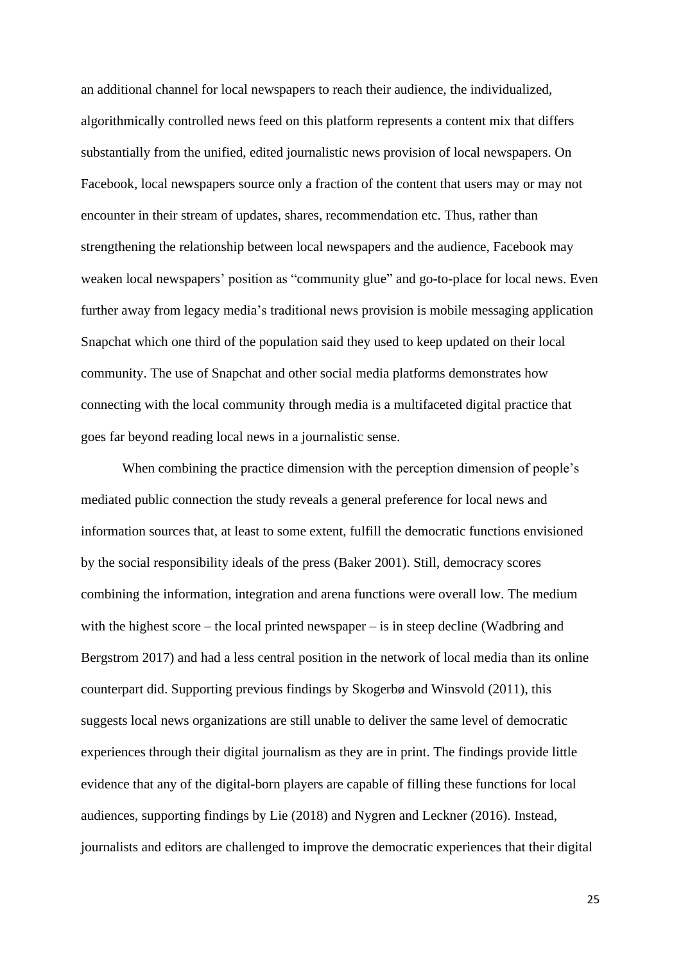an additional channel for local newspapers to reach their audience, the individualized, algorithmically controlled news feed on this platform represents a content mix that differs substantially from the unified, edited journalistic news provision of local newspapers. On Facebook, local newspapers source only a fraction of the content that users may or may not encounter in their stream of updates, shares, recommendation etc. Thus, rather than strengthening the relationship between local newspapers and the audience, Facebook may weaken local newspapers' position as "community glue" and go-to-place for local news. Even further away from legacy media's traditional news provision is mobile messaging application Snapchat which one third of the population said they used to keep updated on their local community. The use of Snapchat and other social media platforms demonstrates how connecting with the local community through media is a multifaceted digital practice that goes far beyond reading local news in a journalistic sense.

When combining the practice dimension with the perception dimension of people's mediated public connection the study reveals a general preference for local news and information sources that, at least to some extent, fulfill the democratic functions envisioned by the social responsibility ideals of the press (Baker 2001). Still, democracy scores combining the information, integration and arena functions were overall low. The medium with the highest score – the local printed newspaper – is in steep decline (Wadbring and Bergstrom 2017) and had a less central position in the network of local media than its online counterpart did. Supporting previous findings by Skogerbø and Winsvold (2011), this suggests local news organizations are still unable to deliver the same level of democratic experiences through their digital journalism as they are in print. The findings provide little evidence that any of the digital-born players are capable of filling these functions for local audiences, supporting findings by Lie (2018) and Nygren and Leckner (2016). Instead, journalists and editors are challenged to improve the democratic experiences that their digital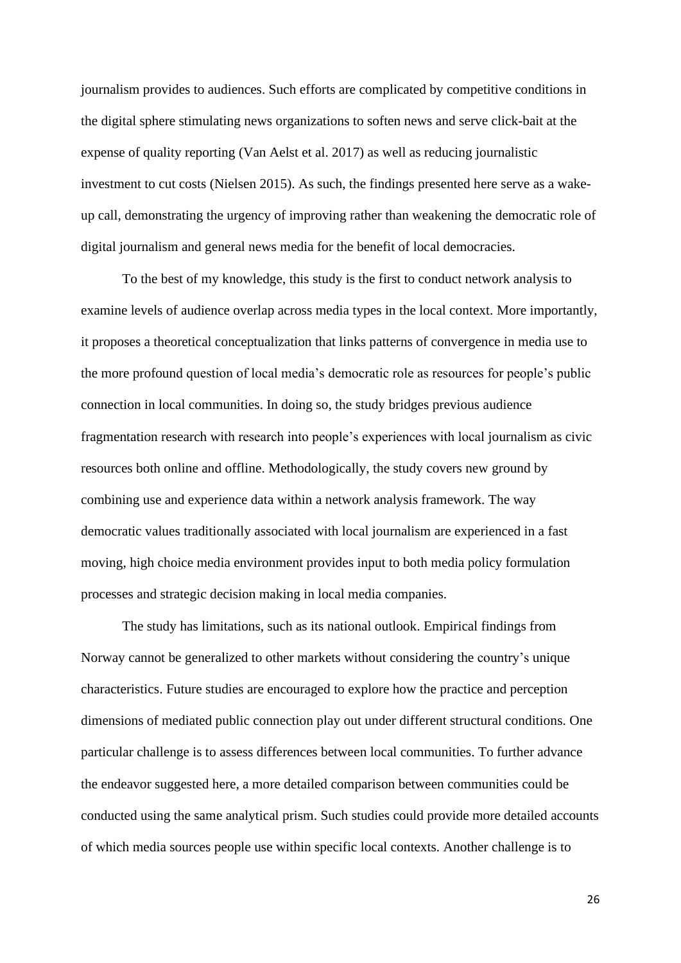journalism provides to audiences. Such efforts are complicated by competitive conditions in the digital sphere stimulating news organizations to soften news and serve click-bait at the expense of quality reporting (Van Aelst et al. 2017) as well as reducing journalistic investment to cut costs (Nielsen 2015). As such, the findings presented here serve as a wakeup call, demonstrating the urgency of improving rather than weakening the democratic role of digital journalism and general news media for the benefit of local democracies.

To the best of my knowledge, this study is the first to conduct network analysis to examine levels of audience overlap across media types in the local context. More importantly, it proposes a theoretical conceptualization that links patterns of convergence in media use to the more profound question of local media's democratic role as resources for people's public connection in local communities. In doing so, the study bridges previous audience fragmentation research with research into people's experiences with local journalism as civic resources both online and offline. Methodologically, the study covers new ground by combining use and experience data within a network analysis framework. The way democratic values traditionally associated with local journalism are experienced in a fast moving, high choice media environment provides input to both media policy formulation processes and strategic decision making in local media companies.

The study has limitations, such as its national outlook. Empirical findings from Norway cannot be generalized to other markets without considering the country's unique characteristics. Future studies are encouraged to explore how the practice and perception dimensions of mediated public connection play out under different structural conditions. One particular challenge is to assess differences between local communities. To further advance the endeavor suggested here, a more detailed comparison between communities could be conducted using the same analytical prism. Such studies could provide more detailed accounts of which media sources people use within specific local contexts. Another challenge is to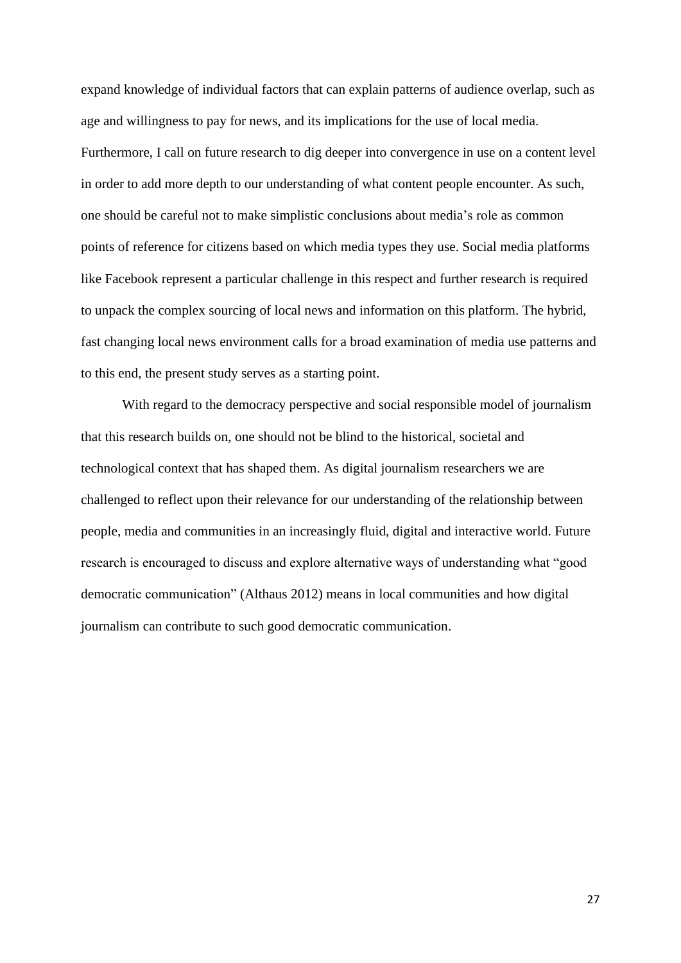expand knowledge of individual factors that can explain patterns of audience overlap, such as age and willingness to pay for news, and its implications for the use of local media. Furthermore, I call on future research to dig deeper into convergence in use on a content level in order to add more depth to our understanding of what content people encounter. As such, one should be careful not to make simplistic conclusions about media's role as common points of reference for citizens based on which media types they use. Social media platforms like Facebook represent a particular challenge in this respect and further research is required to unpack the complex sourcing of local news and information on this platform. The hybrid, fast changing local news environment calls for a broad examination of media use patterns and to this end, the present study serves as a starting point.

With regard to the democracy perspective and social responsible model of journalism that this research builds on, one should not be blind to the historical, societal and technological context that has shaped them. As digital journalism researchers we are challenged to reflect upon their relevance for our understanding of the relationship between people, media and communities in an increasingly fluid, digital and interactive world. Future research is encouraged to discuss and explore alternative ways of understanding what "good democratic communication" (Althaus 2012) means in local communities and how digital journalism can contribute to such good democratic communication.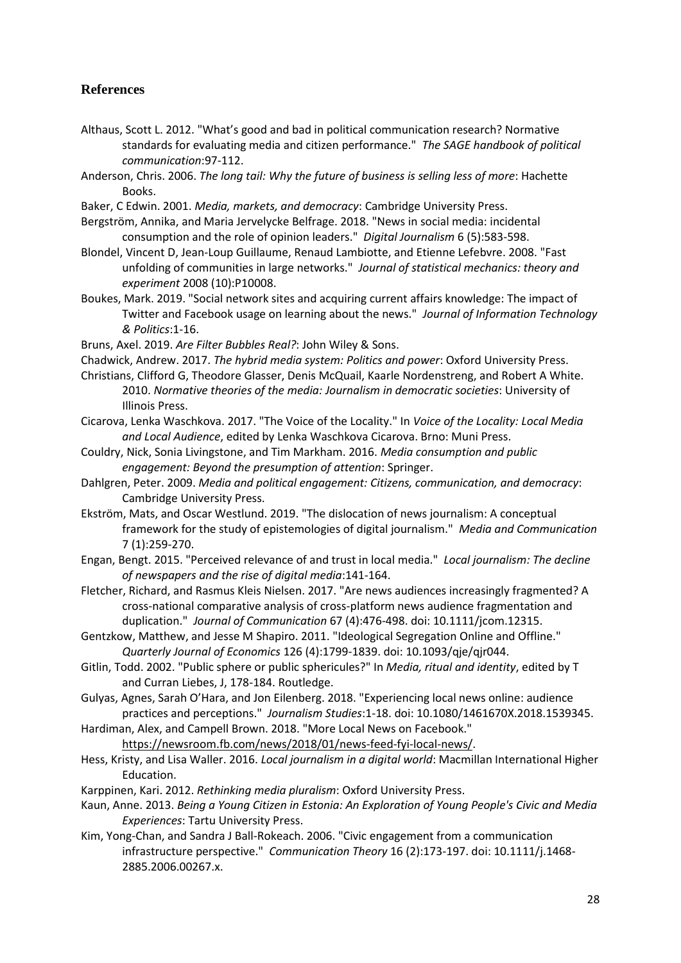# **References**

- Althaus, Scott L. 2012. "What's good and bad in political communication research? Normative standards for evaluating media and citizen performance." *The SAGE handbook of political communication*:97-112.
- Anderson, Chris. 2006. *The long tail: Why the future of business is selling less of more*: Hachette Books.
- Baker, C Edwin. 2001. *Media, markets, and democracy*: Cambridge University Press.
- Bergström, Annika, and Maria Jervelycke Belfrage. 2018. "News in social media: incidental consumption and the role of opinion leaders." *Digital Journalism* 6 (5):583-598.
- Blondel, Vincent D, Jean-Loup Guillaume, Renaud Lambiotte, and Etienne Lefebvre. 2008. "Fast unfolding of communities in large networks." *Journal of statistical mechanics: theory and experiment* 2008 (10):P10008.
- Boukes, Mark. 2019. "Social network sites and acquiring current affairs knowledge: The impact of Twitter and Facebook usage on learning about the news." *Journal of Information Technology & Politics*:1-16.
- Bruns, Axel. 2019. *Are Filter Bubbles Real?*: John Wiley & Sons.
- Chadwick, Andrew. 2017. *The hybrid media system: Politics and power*: Oxford University Press.
- Christians, Clifford G, Theodore Glasser, Denis McQuail, Kaarle Nordenstreng, and Robert A White. 2010. *Normative theories of the media: Journalism in democratic societies*: University of Illinois Press.
- Cicarova, Lenka Waschkova. 2017. "The Voice of the Locality." In *Voice of the Locality: Local Media and Local Audience*, edited by Lenka Waschkova Cicarova. Brno: Muni Press.
- Couldry, Nick, Sonia Livingstone, and Tim Markham. 2016. *Media consumption and public engagement: Beyond the presumption of attention*: Springer.
- Dahlgren, Peter. 2009. *Media and political engagement: Citizens, communication, and democracy*: Cambridge University Press.
- Ekström, Mats, and Oscar Westlund. 2019. "The dislocation of news journalism: A conceptual framework for the study of epistemologies of digital journalism." *Media and Communication* 7 (1):259-270.
- Engan, Bengt. 2015. "Perceived relevance of and trust in local media." *Local journalism: The decline of newspapers and the rise of digital media*:141-164.
- Fletcher, Richard, and Rasmus Kleis Nielsen. 2017. "Are news audiences increasingly fragmented? A cross-national comparative analysis of cross-platform news audience fragmentation and duplication." *Journal of Communication* 67 (4):476-498. doi: 10.1111/jcom.12315.
- Gentzkow, Matthew, and Jesse M Shapiro. 2011. "Ideological Segregation Online and Offline." *Quarterly Journal of Economics* 126 (4):1799-1839. doi: 10.1093/qje/qjr044.
- Gitlin, Todd. 2002. "Public sphere or public sphericules?" In *Media, ritual and identity*, edited by T and Curran Liebes, J, 178-184. Routledge.
- Gulyas, Agnes, Sarah O'Hara, and Jon Eilenberg. 2018. "Experiencing local news online: audience practices and perceptions." *Journalism Studies*:1-18. doi: 10.1080/1461670X.2018.1539345.
- Hardiman, Alex, and Campell Brown. 2018. "More Local News on Facebook." [https://newsroom.fb.com/news/2018/01/news-feed-fyi-local-news/.](https://newsroom.fb.com/news/2018/01/news-feed-fyi-local-news/)
- Hess, Kristy, and Lisa Waller. 2016. *Local journalism in a digital world*: Macmillan International Higher Education.
- Karppinen, Kari. 2012. *Rethinking media pluralism*: Oxford University Press.
- Kaun, Anne. 2013. *Being a Young Citizen in Estonia: An Exploration of Young People's Civic and Media Experiences*: Tartu University Press.
- Kim, Yong-Chan, and Sandra J Ball-Rokeach. 2006. "Civic engagement from a communication infrastructure perspective." *Communication Theory* 16 (2):173-197. doi: 10.1111/j.1468- 2885.2006.00267.x.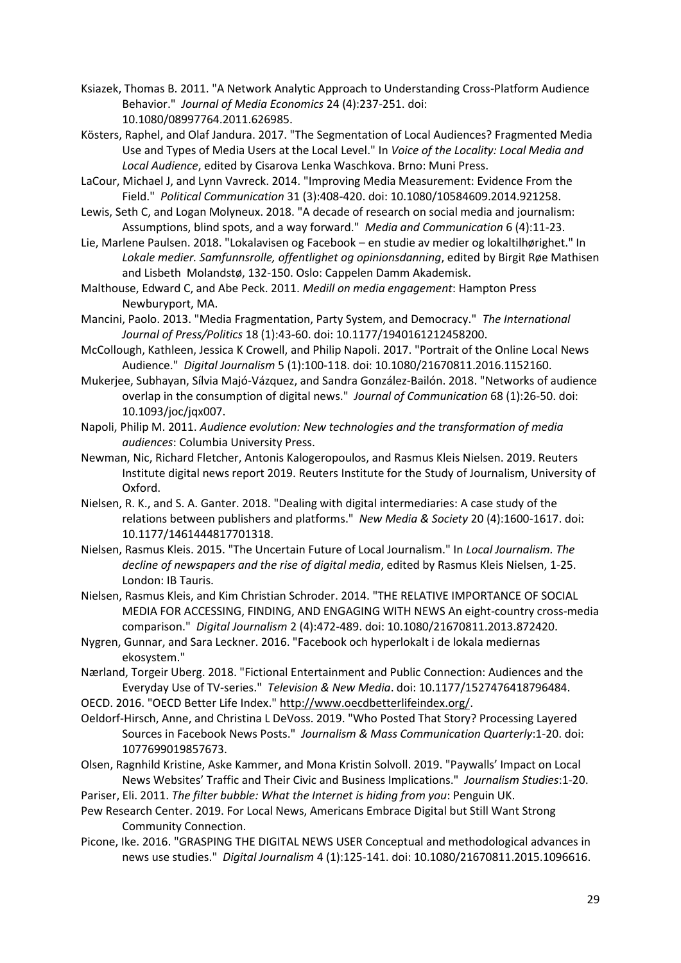- Ksiazek, Thomas B. 2011. "A Network Analytic Approach to Understanding Cross-Platform Audience Behavior." *Journal of Media Economics* 24 (4):237-251. doi: 10.1080/08997764.2011.626985.
- Kösters, Raphel, and Olaf Jandura. 2017. "The Segmentation of Local Audiences? Fragmented Media Use and Types of Media Users at the Local Level." In *Voice of the Locality: Local Media and Local Audience*, edited by Cisarova Lenka Waschkova. Brno: Muni Press.
- LaCour, Michael J, and Lynn Vavreck. 2014. "Improving Media Measurement: Evidence From the Field." *Political Communication* 31 (3):408-420. doi: 10.1080/10584609.2014.921258.
- Lewis, Seth C, and Logan Molyneux. 2018. "A decade of research on social media and journalism: Assumptions, blind spots, and a way forward." *Media and Communication* 6 (4):11-23.
- Lie, Marlene Paulsen. 2018. "Lokalavisen og Facebook en studie av medier og lokaltilhørighet." In *Lokale medier. Samfunnsrolle, offentlighet og opinionsdanning*, edited by Birgit Røe Mathisen and Lisbeth Molandstø, 132-150. Oslo: Cappelen Damm Akademisk.
- Malthouse, Edward C, and Abe Peck. 2011. *Medill on media engagement*: Hampton Press Newburyport, MA.
- Mancini, Paolo. 2013. "Media Fragmentation, Party System, and Democracy." *The International Journal of Press/Politics* 18 (1):43-60. doi: 10.1177/1940161212458200.
- McCollough, Kathleen, Jessica K Crowell, and Philip Napoli. 2017. "Portrait of the Online Local News Audience." *Digital Journalism* 5 (1):100-118. doi: 10.1080/21670811.2016.1152160.
- Mukerjee, Subhayan, Sílvia Majó-Vázquez, and Sandra González-Bailón. 2018. "Networks of audience overlap in the consumption of digital news." *Journal of Communication* 68 (1):26-50. doi: 10.1093/joc/jqx007.
- Napoli, Philip M. 2011. *Audience evolution: New technologies and the transformation of media audiences*: Columbia University Press.
- Newman, Nic, Richard Fletcher, Antonis Kalogeropoulos, and Rasmus Kleis Nielsen. 2019. Reuters Institute digital news report 2019. Reuters Institute for the Study of Journalism, University of Oxford.
- Nielsen, R. K., and S. A. Ganter. 2018. "Dealing with digital intermediaries: A case study of the relations between publishers and platforms." *New Media & Society* 20 (4):1600-1617. doi: 10.1177/1461444817701318.
- Nielsen, Rasmus Kleis. 2015. "The Uncertain Future of Local Journalism." In *Local Journalism. The decline of newspapers and the rise of digital media*, edited by Rasmus Kleis Nielsen, 1-25. London: IB Tauris.
- Nielsen, Rasmus Kleis, and Kim Christian Schroder. 2014. "THE RELATIVE IMPORTANCE OF SOCIAL MEDIA FOR ACCESSING, FINDING, AND ENGAGING WITH NEWS An eight-country cross-media comparison." *Digital Journalism* 2 (4):472-489. doi: 10.1080/21670811.2013.872420.
- Nygren, Gunnar, and Sara Leckner. 2016. "Facebook och hyperlokalt i de lokala mediernas ekosystem."
- Nærland, Torgeir Uberg. 2018. "Fictional Entertainment and Public Connection: Audiences and the Everyday Use of TV-series." *Television & New Media*. doi: 10.1177/1527476418796484.
- OECD. 2016. "OECD Better Life Index.[" http://www.oecdbetterlifeindex.org/.](http://www.oecdbetterlifeindex.org/)
- Oeldorf-Hirsch, Anne, and Christina L DeVoss. 2019. "Who Posted That Story? Processing Layered Sources in Facebook News Posts." *Journalism & Mass Communication Quarterly*:1-20. doi: 1077699019857673.
- Olsen, Ragnhild Kristine, Aske Kammer, and Mona Kristin Solvoll. 2019. "Paywalls' Impact on Local News Websites' Traffic and Their Civic and Business Implications." *Journalism Studies*:1-20.
- Pariser, Eli. 2011. *The filter bubble: What the Internet is hiding from you*: Penguin UK.
- Pew Research Center. 2019. For Local News, Americans Embrace Digital but Still Want Strong Community Connection.
- Picone, Ike. 2016. "GRASPING THE DIGITAL NEWS USER Conceptual and methodological advances in news use studies." *Digital Journalism* 4 (1):125-141. doi: 10.1080/21670811.2015.1096616.